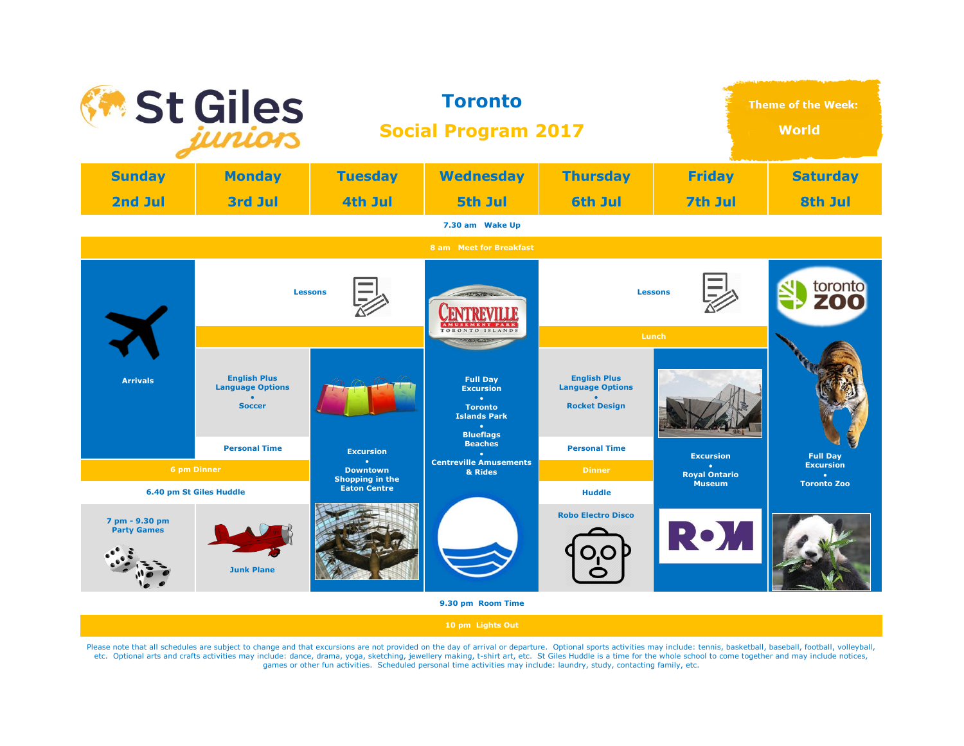

Please note that all schedules are subject to change and that excursions are not provided on the day of arrival or departure. Optional sports activities may include: tennis, basketball, baseball, football, volleyball, etc. Optional arts and crafts activities may include: dance, drama, yoga, sketching, jewellery making, t-shirt art, etc. St Giles Huddle is a time for the whole school to come together and may include notices, games or other fun activities. Scheduled personal time activities may include: laundry, study, contacting family, etc.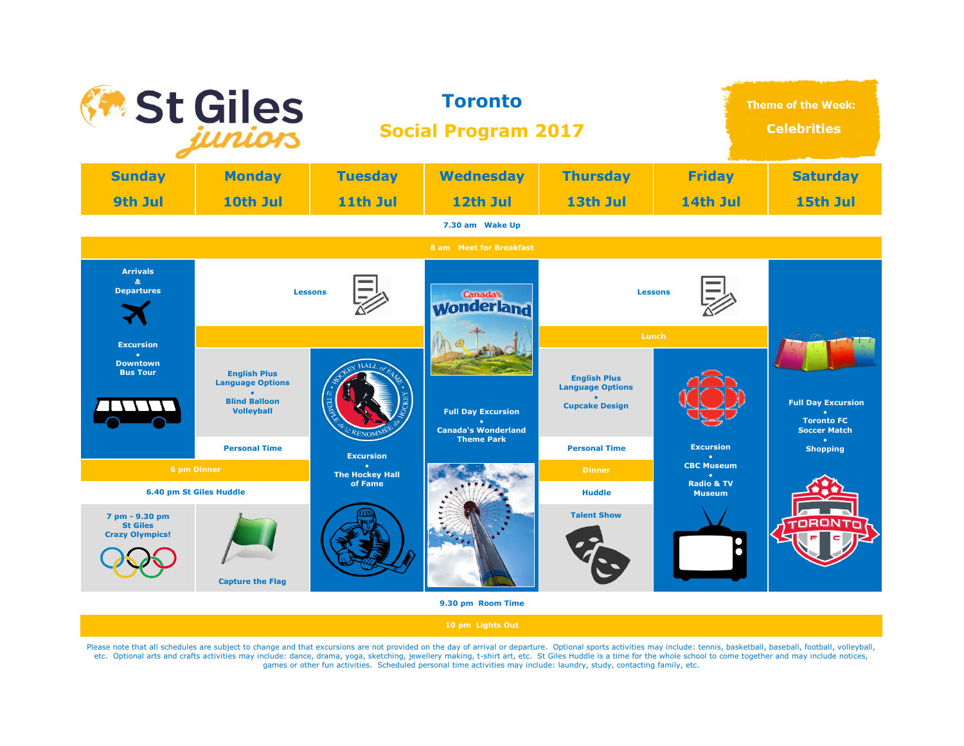| <b>*</b> St Giles                                                                                                               |                                                                                                                                       | <b>Toronto</b><br><b>Social Program 2017</b> |                                                                                                                      |                                                                                                                                             | <b>Theme of the Week:</b><br><b>Celebrities</b> |                                                                                                       |
|---------------------------------------------------------------------------------------------------------------------------------|---------------------------------------------------------------------------------------------------------------------------------------|----------------------------------------------|----------------------------------------------------------------------------------------------------------------------|---------------------------------------------------------------------------------------------------------------------------------------------|-------------------------------------------------|-------------------------------------------------------------------------------------------------------|
| <b>Sunday</b>                                                                                                                   | <b>Monday</b>                                                                                                                         | <b>Tuesday</b>                               | <b>Wednesday</b>                                                                                                     | <b>Thursday</b>                                                                                                                             | <b>Friday</b>                                   | <b>Saturday</b>                                                                                       |
| 9th Jul                                                                                                                         | 10th Jul                                                                                                                              | 11th Jul                                     | 12th Jul                                                                                                             | 13th Jul                                                                                                                                    | 14th Jul                                        | 15th Jul                                                                                              |
|                                                                                                                                 |                                                                                                                                       |                                              | 7.30 am Wake Up                                                                                                      |                                                                                                                                             |                                                 |                                                                                                       |
|                                                                                                                                 |                                                                                                                                       |                                              | 8 am Meet for Breakfast                                                                                              |                                                                                                                                             |                                                 |                                                                                                       |
| <b>Arrivals</b><br>$\alpha$<br><b>Departures</b><br><b>Excursion</b><br>a.<br><b>Downtown</b><br><b>Bus Tour</b><br>6 pm Dinner | <b>Lessons</b><br><b>English Plus</b><br><b>Language Options</b><br><b>Blind Balloon</b><br><b>Volleyball</b><br><b>Personal Time</b> | <b>Excursion</b><br><b>The Hockey Hall</b>   | <b>Canada's</b><br><b>Wonderland</b><br><b>Full Day Excursion</b><br><b>Canada's Wonderland</b><br><b>Theme Park</b> | <b>Lessons</b><br>Lunch<br><b>English Plus</b><br><b>Language Options</b><br><b>Cupcake Design</b><br><b>Personal Time</b><br><b>Dinner</b> | <b>Excursion</b><br><b>CBC Museum</b>           | <b>Full Day Excursion</b><br><b>Toronto FC</b><br><b>Soccer Match</b><br>$\bullet$<br><b>Shopping</b> |
| 6.40 pm St Giles Huddle<br>7 pm - 9.30 pm<br><b>St Giles</b><br><b>Crazy Olympics!</b>                                          | <b>Capture the Flag</b>                                                                                                               | of Fame                                      | 9.30 pm Room Time                                                                                                    | <b>Huddle</b><br><b>Talent Show</b>                                                                                                         | <b>Radio &amp; TV</b><br><b>Museum</b>          |                                                                                                       |

Please note that all schedules are subject to change and that excursions are not provided on the day of arrival or departure. Optional sports activities may include: tennis, basketball, baseball, football, volleyball, etc.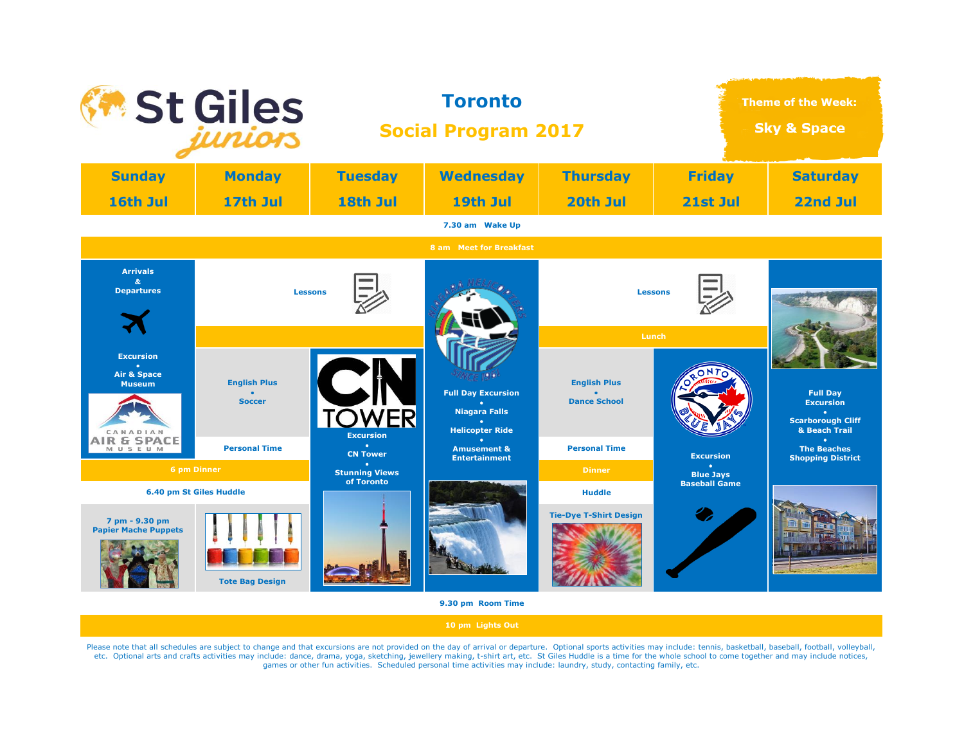

Please note that all schedules are subject to change and that excursions are not provided on the day of arrival or departure. Optional sports activities may include: tennis, basketball, baseball, football, volleyball, etc. Optional arts and crafts activities may include: dance, drama, yoga, sketching, jewellery making, t-shirt art, etc. St Giles Huddle is a time for the whole school to come together and may include notices, games or other fun activities. Scheduled personal time activities may include: laundry, study, contacting family, etc.